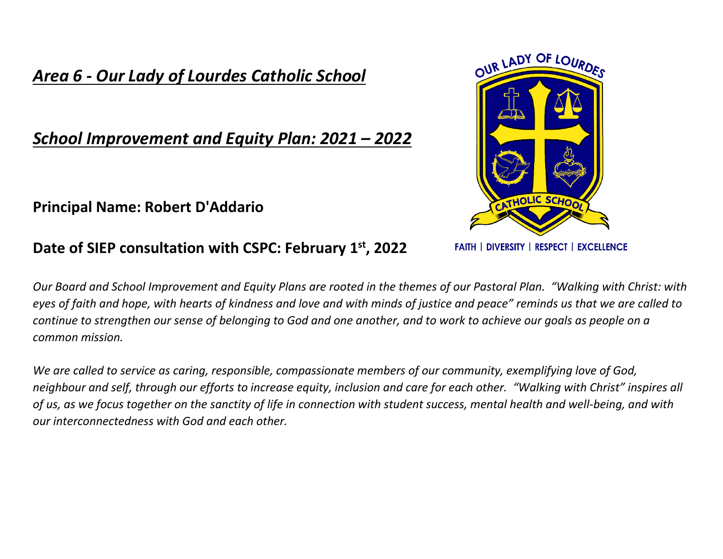# *Area 6 - Our Lady of Lourdes Catholic School*

# *School Improvement and Equity Plan: 2021 – 2022*

### **Principal Name: Robert D'Addario**

#### **Date of SIEP consultation with CSPC: February 1st, 2022**

*Our Board and School Improvement and Equity Plans are rooted in the themes of our Pastoral Plan. "Walking with Christ: with eyes of faith and hope, with hearts of kindness and love and with minds of justice and peace" reminds us that we are called to continue to strengthen our sense of belonging to God and one another, and to work to achieve our goals as people on a common mission.*

*We are called to service as caring, responsible, compassionate members of our community, exemplifying love of God, neighbour and self, through our efforts to increase equity, inclusion and care for each other. "Walking with Christ" inspires all of us, as we focus together on the sanctity of life in connection with student success, mental health and well-being, and with our interconnectedness with God and each other.*



**FAITH | DIVERSITY | RESPECT | EXCELLENCE**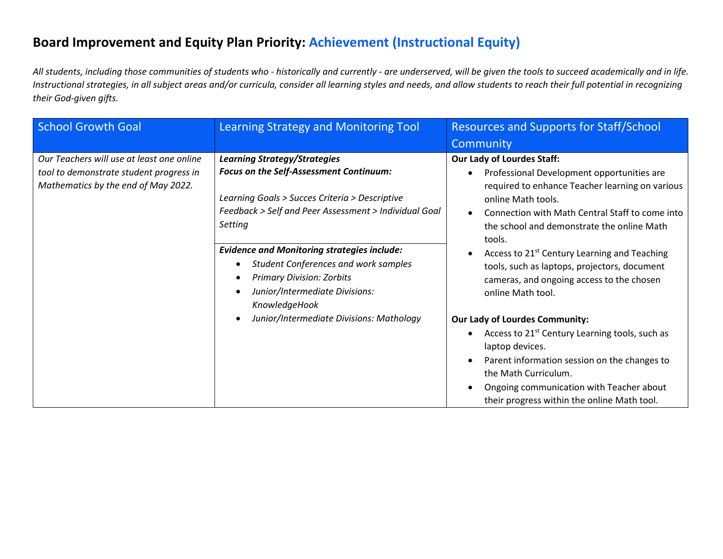### **Board Improvement and Equity Plan Priority: Achievement (Instructional Equity)**

*All students, including those communities of students who - historically and currently - are underserved, will be given the tools to succeed academically and in life. Instructional strategies, in all subject areas and/or curricula, consider all learning styles and needs, and allow students to reach their full potential in recognizing their God-given gifts.*

| <b>School Growth Goal</b>                                                                                                   | Learning Strategy and Monitoring Tool                                                                                                                                                                                                                                                                                                                                                                                                                                  | <b>Resources and Supports for Staff/School</b>                                                                                                                                                                                                                                                                                                                                                                                                                                                                                                                              |
|-----------------------------------------------------------------------------------------------------------------------------|------------------------------------------------------------------------------------------------------------------------------------------------------------------------------------------------------------------------------------------------------------------------------------------------------------------------------------------------------------------------------------------------------------------------------------------------------------------------|-----------------------------------------------------------------------------------------------------------------------------------------------------------------------------------------------------------------------------------------------------------------------------------------------------------------------------------------------------------------------------------------------------------------------------------------------------------------------------------------------------------------------------------------------------------------------------|
|                                                                                                                             |                                                                                                                                                                                                                                                                                                                                                                                                                                                                        | Community                                                                                                                                                                                                                                                                                                                                                                                                                                                                                                                                                                   |
| Our Teachers will use at least one online<br>tool to demonstrate student progress in<br>Mathematics by the end of May 2022. | <b>Learning Strategy/Strategies</b><br>Focus on the Self-Assessment Continuum:<br>Learning Goals > Succes Criteria > Descriptive<br>Feedback > Self and Peer Assessment > Individual Goal<br>Setting<br><b>Evidence and Monitoring strategies include:</b><br><b>Student Conferences and work samples</b><br>$\bullet$<br><b>Primary Division: Zorbits</b><br>Junior/Intermediate Divisions:<br>KnowledgeHook<br>Junior/Intermediate Divisions: Mathology<br>$\bullet$ | <b>Our Lady of Lourdes Staff:</b><br>Professional Development opportunities are<br>required to enhance Teacher learning on various<br>online Math tools.<br>Connection with Math Central Staff to come into<br>the school and demonstrate the online Math<br>tools.<br>Access to 21 <sup>st</sup> Century Learning and Teaching<br>tools, such as laptops, projectors, document<br>cameras, and ongoing access to the chosen<br>online Math tool.<br><b>Our Lady of Lourdes Community:</b><br>Access to 21 <sup>st</sup> Century Learning tools, such as<br>laptop devices. |
|                                                                                                                             |                                                                                                                                                                                                                                                                                                                                                                                                                                                                        | Parent information session on the changes to<br>the Math Curriculum.<br>Ongoing communication with Teacher about                                                                                                                                                                                                                                                                                                                                                                                                                                                            |
|                                                                                                                             |                                                                                                                                                                                                                                                                                                                                                                                                                                                                        | their progress within the online Math tool.                                                                                                                                                                                                                                                                                                                                                                                                                                                                                                                                 |